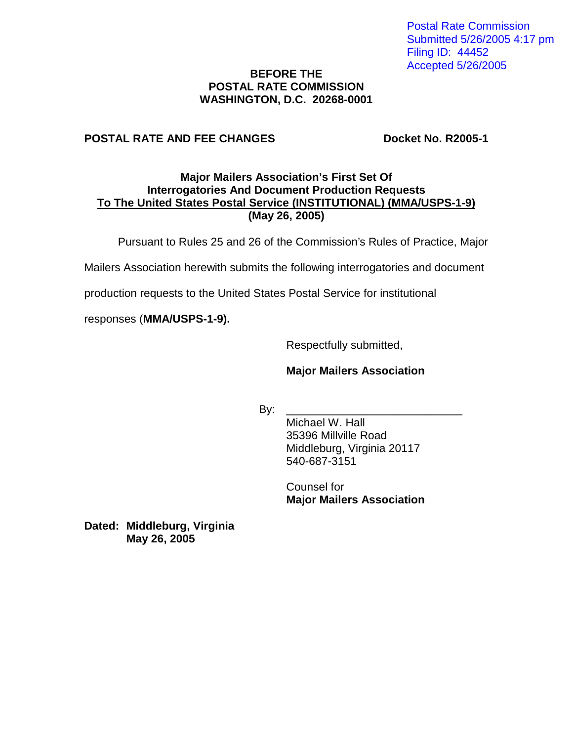Postal Rate Commission Submitted 5/26/2005 4:17 pm Filing ID: 44452 Accepted 5/26/2005

### **BEFORE THE POSTAL RATE COMMISSION WASHINGTON, D.C. 20268-0001**

### **POSTAL RATE AND FEE CHANGES Docket No. R2005-1**

### **Major Mailers Association's First Set Of Interrogatories And Document Production Requests To The United States Postal Service (INSTITUTIONAL) (MMA/USPS-1-9) (May 26, 2005)**

Pursuant to Rules 25 and 26 of the Commission's Rules of Practice, Major

Mailers Association herewith submits the following interrogatories and document

production requests to the United States Postal Service for institutional

responses (**MMA/USPS-1-9).**

Respectfully submitted,

### **Major Mailers Association**

By: \_\_\_\_\_\_\_\_\_\_\_\_\_\_\_\_\_\_\_\_\_\_\_\_\_\_\_\_

Michael W. Hall 35396 Millville Road Middleburg, Virginia 20117 540-687-3151

Counsel for **Major Mailers Association** 

**Dated: Middleburg, Virginia May 26, 2005**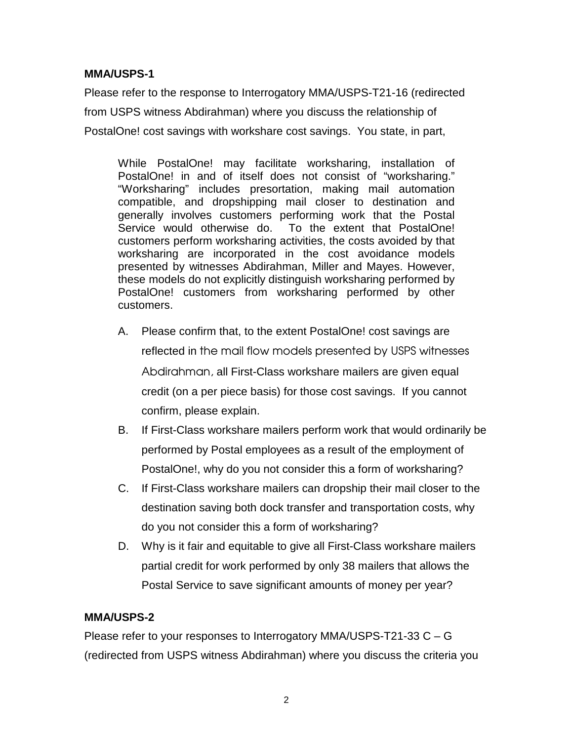# **MMA/USPS-1**

Please refer to the response to Interrogatory MMA/USPS-T21-16 (redirected from USPS witness Abdirahman) where you discuss the relationship of PostalOne! cost savings with workshare cost savings. You state, in part,

While PostalOne! may facilitate worksharing, installation of PostalOne! in and of itself does not consist of "worksharing." "Worksharing" includes presortation, making mail automation compatible, and dropshipping mail closer to destination and generally involves customers performing work that the Postal Service would otherwise do. To the extent that PostalOne! customers perform worksharing activities, the costs avoided by that worksharing are incorporated in the cost avoidance models presented by witnesses Abdirahman, Miller and Mayes. However, these models do not explicitly distinguish worksharing performed by PostalOne! customers from worksharing performed by other customers.

- A. Please confirm that, to the extent PostalOne! cost savings are reflected in the mail flow models presented by USPS witnesses Abdirahman, all First-Class workshare mailers are given equal credit (on a per piece basis) for those cost savings. If you cannot confirm, please explain.
- B. If First-Class workshare mailers perform work that would ordinarily be performed by Postal employees as a result of the employment of PostalOne!, why do you not consider this a form of worksharing?
- C. If First-Class workshare mailers can dropship their mail closer to the destination saving both dock transfer and transportation costs, why do you not consider this a form of worksharing?
- D. Why is it fair and equitable to give all First-Class workshare mailers partial credit for work performed by only 38 mailers that allows the Postal Service to save significant amounts of money per year?

# **MMA/USPS-2**

Please refer to your responses to Interrogatory MMA/USPS-T21-33 C – G (redirected from USPS witness Abdirahman) where you discuss the criteria you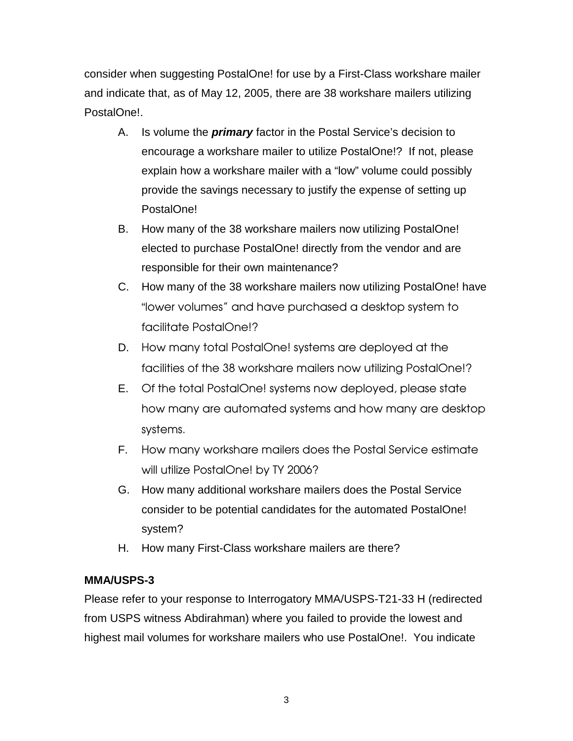consider when suggesting PostalOne! for use by a First-Class workshare mailer and indicate that, as of May 12, 2005, there are 38 workshare mailers utilizing PostalOne!.

- A. Is volume the **primary** factor in the Postal Service's decision to encourage a workshare mailer to utilize PostalOne!? If not, please explain how a workshare mailer with a "low" volume could possibly provide the savings necessary to justify the expense of setting up PostalOne!
- B. How many of the 38 workshare mailers now utilizing PostalOne! elected to purchase PostalOne! directly from the vendor and are responsible for their own maintenance?
- C. How many of the 38 workshare mailers now utilizing PostalOne! have "lower volumes" and have purchased a desktop system to facilitate PostalOne!?
- D. How many total PostalOne! systems are deployed at the facilities of the 38 workshare mailers now utilizing PostalOne!?
- E. Of the total PostalOne! systems now deployed, please state how many are automated systems and how many are desktop systems.
- F. How many workshare mailers does the Postal Service estimate will utilize PostalOne! by TY 2006?
- G. How many additional workshare mailers does the Postal Service consider to be potential candidates for the automated PostalOne! system?
- H. How many First-Class workshare mailers are there?

# **MMA/USPS-3**

Please refer to your response to Interrogatory MMA/USPS-T21-33 H (redirected from USPS witness Abdirahman) where you failed to provide the lowest and highest mail volumes for workshare mailers who use PostalOne!. You indicate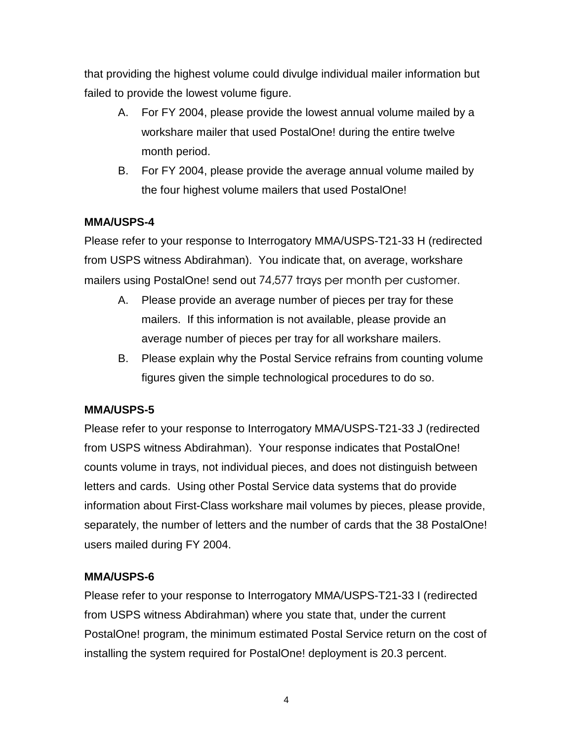that providing the highest volume could divulge individual mailer information but failed to provide the lowest volume figure.

- A. For FY 2004, please provide the lowest annual volume mailed by a workshare mailer that used PostalOne! during the entire twelve month period.
- B. For FY 2004, please provide the average annual volume mailed by the four highest volume mailers that used PostalOne!

# **MMA/USPS-4**

Please refer to your response to Interrogatory MMA/USPS-T21-33 H (redirected from USPS witness Abdirahman). You indicate that, on average, workshare mailers using PostalOne! send out 74,577 trays per month per customer.

- A. Please provide an average number of pieces per tray for these mailers. If this information is not available, please provide an average number of pieces per tray for all workshare mailers.
- B. Please explain why the Postal Service refrains from counting volume figures given the simple technological procedures to do so.

# **MMA/USPS-5**

Please refer to your response to Interrogatory MMA/USPS-T21-33 J (redirected from USPS witness Abdirahman). Your response indicates that PostalOne! counts volume in trays, not individual pieces, and does not distinguish between letters and cards. Using other Postal Service data systems that do provide information about First-Class workshare mail volumes by pieces, please provide, separately, the number of letters and the number of cards that the 38 PostalOne! users mailed during FY 2004.

# **MMA/USPS-6**

Please refer to your response to Interrogatory MMA/USPS-T21-33 I (redirected from USPS witness Abdirahman) where you state that, under the current PostalOne! program, the minimum estimated Postal Service return on the cost of installing the system required for PostalOne! deployment is 20.3 percent.

4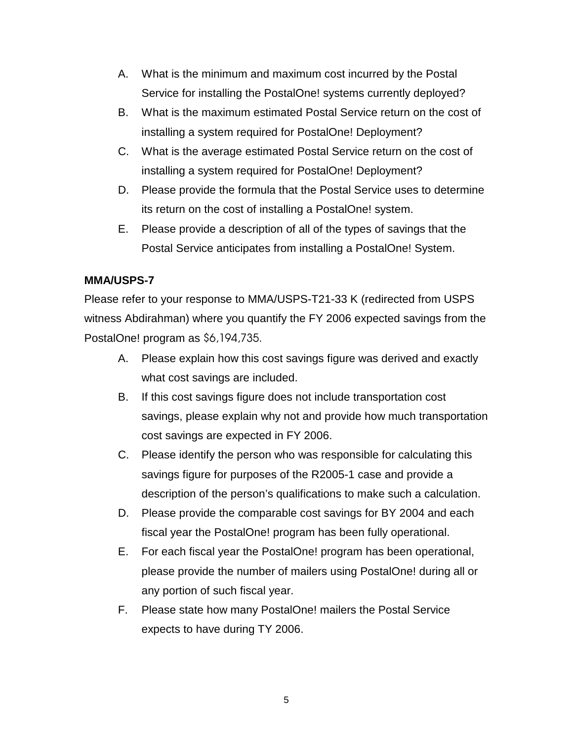- A. What is the minimum and maximum cost incurred by the Postal Service for installing the PostalOne! systems currently deployed?
- B. What is the maximum estimated Postal Service return on the cost of installing a system required for PostalOne! Deployment?
- C. What is the average estimated Postal Service return on the cost of installing a system required for PostalOne! Deployment?
- D. Please provide the formula that the Postal Service uses to determine its return on the cost of installing a PostalOne! system.
- E. Please provide a description of all of the types of savings that the Postal Service anticipates from installing a PostalOne! System.

## **MMA/USPS-7**

Please refer to your response to MMA/USPS-T21-33 K (redirected from USPS witness Abdirahman) where you quantify the FY 2006 expected savings from the PostalOne! program as \$6,194,735.

- A. Please explain how this cost savings figure was derived and exactly what cost savings are included.
- B. If this cost savings figure does not include transportation cost savings, please explain why not and provide how much transportation cost savings are expected in FY 2006.
- C. Please identify the person who was responsible for calculating this savings figure for purposes of the R2005-1 case and provide a description of the person's qualifications to make such a calculation.
- D. Please provide the comparable cost savings for BY 2004 and each fiscal year the PostalOne! program has been fully operational.
- E. For each fiscal year the PostalOne! program has been operational, please provide the number of mailers using PostalOne! during all or any portion of such fiscal year.
- F. Please state how many PostalOne! mailers the Postal Service expects to have during TY 2006.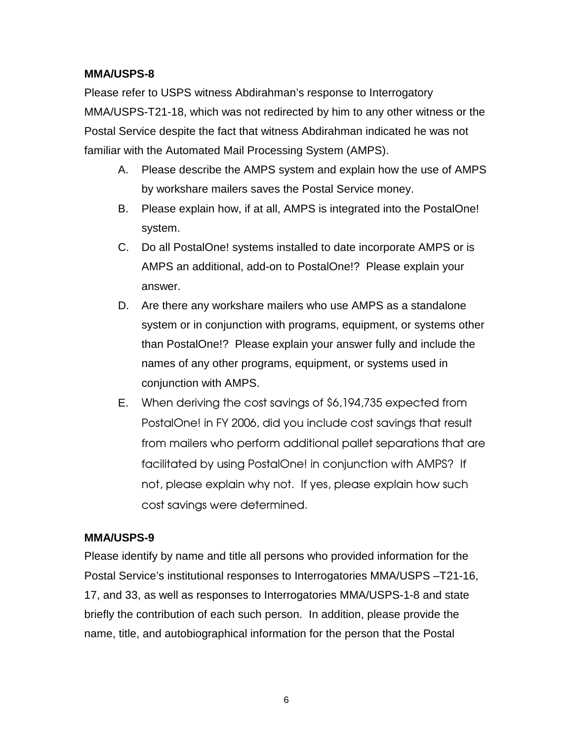## **MMA/USPS-8**

Please refer to USPS witness Abdirahman's response to Interrogatory MMA/USPS-T21-18, which was not redirected by him to any other witness or the Postal Service despite the fact that witness Abdirahman indicated he was not familiar with the Automated Mail Processing System (AMPS).

- A. Please describe the AMPS system and explain how the use of AMPS by workshare mailers saves the Postal Service money.
- B. Please explain how, if at all, AMPS is integrated into the PostalOne! system.
- C. Do all PostalOne! systems installed to date incorporate AMPS or is AMPS an additional, add-on to PostalOne!? Please explain your answer.
- D. Are there any workshare mailers who use AMPS as a standalone system or in conjunction with programs, equipment, or systems other than PostalOne!? Please explain your answer fully and include the names of any other programs, equipment, or systems used in conjunction with AMPS.
- E. When deriving the cost savings of \$6,194,735 expected from PostalOne! in FY 2006, did you include cost savings that result from mailers who perform additional pallet separations that are facilitated by using PostalOne! in conjunction with AMPS? If not, please explain why not. If yes, please explain how such cost savings were determined.

### **MMA/USPS-9**

Please identify by name and title all persons who provided information for the Postal Service's institutional responses to Interrogatories MMA/USPS –T21-16, 17, and 33, as well as responses to Interrogatories MMA/USPS-1-8 and state briefly the contribution of each such person. In addition, please provide the name, title, and autobiographical information for the person that the Postal

6